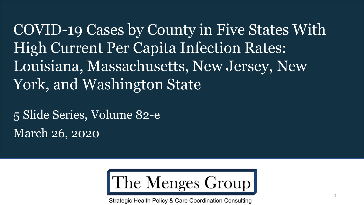COVID-19 Cases by County in Five States With High Current Per Capita Infection Rates: Louisiana, Massachusetts, New Jersey, New York, and Washington State

5 Slide Series, Volume 82-e March 26, 2020



Strategic Health Policy & Care Coordination Consulting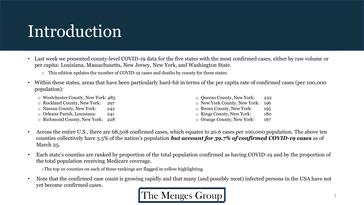# **Introduction**

- Last week we presented county-level COVID-19 data for the five states with the most confirmed cases, either by raw volume or per capita: Louisiana, Massachusetts, New Jersey, New York, and Washington State.
	- o This edition updates the number of COVID-19 cases and deaths by county for these states.
- Within these states, areas that have been particularly hard-hit in terms of the per capita rate of confirmed cases (per 100,000 population):
	- o Westchester County, New York: 485
	- o Rockland County, New York: 297
	- o Nassau County, New York: 242
	- o Orleans Parish, Louisiana: 241
	- o Richmond County, New York: 228
- o Queens County, New York: 222 o New York County, New York: 196 o Bronx County, New York: 195 o Kings County, New York: 180 o Orange County, New York: 167
- Across the entire U.S., there are 68,508 confirmed cases, which equates to 20.6 cases per 100,000 population. The above ten counties collectively have 3.5% of the nation's population *but account for 39.7% of confirmed COVID-19 cases* as of March 25.
- Each state's counties are ranked by proportion of the total population confirmed as having COVID-19 and by the proportion of the total population receiving Medicare coverage.

oThe top 10 counties on each of these rankings are flagged in yellow highlighting.

• Note that the confirmed case count is growing rapidly and that many (and possibly most) infected persons in the USA have not yet become confirmed cases.

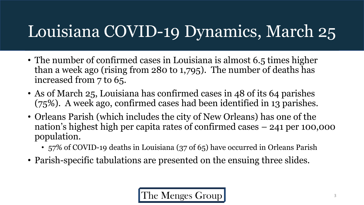# Louisiana COVID-19 Dynamics, March 25

- The number of confirmed cases in Louisiana is almost 6.5 times higher than a week ago (rising from 280 to 1,795). The number of deaths has increased from 7 to 65.
- As of March 25, Louisiana has confirmed cases in 48 of its 64 parishes (75%). A week ago, confirmed cases had been identified in 13 parishes.
- Orleans Parish (which includes the city of New Orleans) has one of the nation's highest high per capita rates of confirmed cases – 241 per 100,000 population.
	- 57% of COVID-19 deaths in Louisiana (37 of 65) have occurred in Orleans Parish
- Parish-specific tabulations are presented on the ensuing three slides.

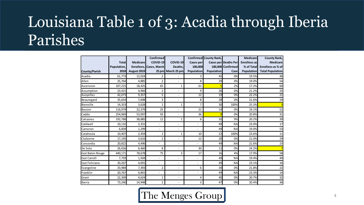### Louisiana Table 1 of 3: Acadia through Iberia Parishes

|                         |              |                    | Confirmed               |                              |                          | Confirmed County Rank, |                      | <b>Medicare</b>     | <b>County Rank,</b>     |
|-------------------------|--------------|--------------------|-------------------------|------------------------------|--------------------------|------------------------|----------------------|---------------------|-------------------------|
|                         | <b>Total</b> | Medicare           | COVID-19                | COVID-19                     | <b>Cases per</b>         |                        | Cases per Deaths Per | <b>Enrollees</b> as | <b>Medicare</b>         |
|                         | Population,  |                    | Enrollees, Cases, March | Deaths.                      | 100.000                  |                        | 100.000 Confirmed    | % of Total          | Enrollees as % of       |
| County/Parish           | 2018         | <b>August 2019</b> |                         | 25 pm March 25 pm            | <b>Population</b>        | <b>Population</b>      | Case                 | <b>Population</b>   | <b>Total Population</b> |
| Acadia                  | 61,773       | 12,024             | 2                       |                              | 3                        | 45                     | 0%                   | 19.5%               | 48                      |
| Allen                   | 25,764       | 4,885              | 2                       | $\overline{\phantom{a}}$     | 8                        | 29                     | 0%                   | 19.0%               | 54                      |
| Ascension               | 107,215      | 18,425             | 65                      | 1                            | 61                       |                        | 2%                   | 17.2%               | 60                      |
| Assumption              | 23,421       | 4,966              | 2                       | ٠                            | 9                        | 26                     | 0%                   | 21.2%               | 25                      |
| Avoyelles               | 42,073       | 9,357              | 5                       | ٠                            | 12                       | 19                     | 0%                   | 22.2%               | $\overline{21}$         |
| Beauregard              | 35,654       | 7,698              | 3                       | ۰                            | 8                        | 28                     | 0%                   | 21.6%               | 24                      |
| Bienville               | 14,353       | 3,628              | $\mathbf{1}$            | 1                            | 7                        | 30 <sup>2</sup>        | 100%                 | 25.3%               | З                       |
| <b>Bossier</b>          | 116,979      | 22,379             | 25                      | ۰                            | 21                       | 14                     | 0%                   | 19.1%               | 52                      |
| Caddo                   | 254,969      | 53,097             | 93                      | $\blacksquare$               | 36                       | 9                      | 0%                   | 20.8%               | 31                      |
| Calcasieu               | 192,768      | 38,885             | 11                      | 1                            | 6                        | 35                     | 9%                   | 20.2%               | 39                      |
| Caldwell                | 10,132       | 2,331              |                         | ٠                            |                          | 49                     | <b>NA</b>            | 23.0%               | 17                      |
| Cameron                 | 6,839        | 1,299              | L,                      | $\overline{a}$               |                          | 49                     | <b>NA</b>            | 19.0%               | 53                      |
| Catahoula               | 10,407       | 2,459              | 1                       | 1                            | 10                       | 22                     | 100%                 | 23.6%               | 11                      |
| Claiborne               | 17,195       | 3,616              | $\overline{2}$          | ÷,                           | 12                       | 20                     | 0%                   | 21.0%               | 29                      |
| Concordia               | 20,822       | 4,496              |                         | $\qquad \qquad \blacksquare$ |                          | 49                     | <b>NA</b>            | 21.6%               | 23                      |
| De Soto                 | 26,656       | 6,460              | 8                       | $\overline{\phantom{a}}$     | 30                       | 11                     | 0%                   | 24.2%               |                         |
| <b>East Baton Rouge</b> | 440,171      | 78,678             | 75                      | 3                            | 17                       | 16                     | 4%                   | 17.9%               | 58                      |
| <b>East Carroll</b>     | 7,759        | 1,504              | L,                      | ٠                            |                          | 49                     | <b>NA</b>            | 19.4%               | 49                      |
| East Feliciana          | 20,267       | 4,691              | ÷,                      | $\qquad \qquad \blacksquare$ | $\overline{\phantom{a}}$ | 49                     | <b>NA</b>            | 23.1%               | 16                      |
| Evangeline              | 33,984       | 7,393              | $\overline{2}$          | ٠                            | 6                        | 34                     | 0%                   | 21.8%               | 22                      |
| Franklin                | 20,767       | 4,841              | ٠                       | ۰                            | $\overline{a}$           | 49                     | <b>NA</b>            | 23.3%               | 14                      |
| Grant                   | 22,309       | 4,624              | $\mathbf{1}$            | ٠                            | 4                        | 40                     | 0%                   | 20.7%               | 32                      |
| Iberia                  | 73,240       | 14,948             | 2                       | ٠                            | 3                        | 47                     | 0%                   | 20.4%               | 36                      |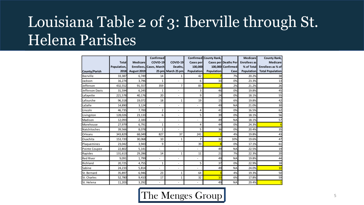### Louisiana Table 2 of 3: Iberville through St. Helena Parishes

|                  |              |                 | <b>Confirmed</b>        |                          |                          | Confirmed County Rank, |                      | <b>Medicare</b>   | <b>County Rank,</b>     |
|------------------|--------------|-----------------|-------------------------|--------------------------|--------------------------|------------------------|----------------------|-------------------|-------------------------|
|                  | <b>Total</b> | <b>Medicare</b> | COVID-19                | COVID-19                 | Cases per                |                        | Cases per Deaths Per | Enrollees as      | <b>Medicare</b>         |
|                  | Population,  |                 | Enrollees, Cases, March | Deaths,                  | 100,000                  |                        | 100,000 Confirmed    | % of Total        | Enrollees as % of       |
| County/Parish    | 2018         | August 2019     |                         | 25 pm March 25 pm        | <b>Population</b>        | Population             | Case                 | <b>Population</b> | <b>Total Population</b> |
| Iberville        | 33,387       | 6,749           | 14                      | 1                        | 42                       |                        | 7%                   | 20.2%             | 38                      |
| Jackson          | 16,274       | 3,796           | $\mathbf{1}$            | $\overline{a}$           | 6                        | 33                     | 0%                   | 23.3%             | 13                      |
| Jefferson        | 432,552      | 91,557          | 359                     | 7                        | 83                       |                        | 2%                   | 21.2%             | 26                      |
| Jefferson Davis  | 31,594       | 6,245           | $\mathbf{1}$            | $\overline{a}$           | 3                        | 46                     | 0%                   | 19.8%             | 45                      |
| Lafayette        | 221,578      | 40,176          | 20                      | $\overline{a}$           | 9                        | 24                     | 0%                   | 18.1%             | 55                      |
| Lafourche        | 96,318       | 19,072          | 18                      | $\mathbf{1}$             | 19                       | 15                     | 6%                   | 19.8%             | 42                      |
| LaSalle          | 14,890       | 3,124           |                         | $\overline{a}$           |                          | 49                     | <b>NA</b>            | 21.0%             | 30                      |
| Lincoln          | 46,735       | 7,700           | $\overline{2}$          | $\overline{a}$           | 4                        | 41                     | 0%                   | 16.5%             | 62                      |
| Livingston       | 128,026      | 23,133          | 6                       | $\overline{a}$           | 5                        | 39                     | 0%                   | 18.1%             | 56                      |
| Madison          | 12,093       | 2,183           | ٠                       | $\overline{\phantom{a}}$ | $\overline{\phantom{a}}$ | 49                     | <b>NA</b>            | 18.1%             | 57                      |
| Morehouse        | 27,979       | 6,791           | $\mathbf 1$             | $\overline{a}$           | 4                        | 44                     | 0%                   | 24.3%             | $\epsilon$              |
| Natchitoches     | 39,566       | 8,078           | 2                       | $\overline{a}$           | 5                        | 36                     | 0%                   | 20.4%             | 35                      |
| Orleans          | 343,829      | 68,049          | 827                     | 37                       | 241                      |                        | 4%                   | 19.8%             | 43                      |
| Ouachita         | 153,720      | 30,068          | 10                      | 1                        | 7                        | 32                     | 10%                  | 19.6%             | 47                      |
| Plaquemines      | 23,042       | 3,943           | 9                       | $\overline{a}$           | 39                       | 8                      | 0%                   | 17.1%             | 61                      |
| Pointe Coupee    | 22,802       | 5,141           | L,                      | ۰                        |                          | 49                     | <b>NA</b>            | 22.5%             | 19                      |
| Rapides          | 131,613      | 29,286          | 14                      | 1                        | 11                       | 21                     | 7%                   | 22.3%             | 20                      |
| <b>Red River</b> | 9,091        | 1,799           |                         | ۰                        |                          | 49                     | <b>NA</b>            | 19.8%             | 44                      |
| Richland         | 20,725       | 4,755           | 1                       | $\overline{a}$           | 5                        | 37                     | 0%                   | 22.9%             | 18                      |
| Sabine           | 24,233       | 5,814           |                         | $\overline{\phantom{0}}$ |                          | 49                     | <b>NA</b>            | 24.0%             | 10                      |
| St. Bernard      | 35,897       | 6,946           | 23                      | 1                        | 64                       |                        | 4%                   | 19.3%             | 50                      |
| St. Charles      | 52,780       | 9,410           | 17                      | 1                        | 32                       | 10                     | 6%                   | 17.8%             | 59                      |
| St. Helena       | 11,203       | 3,292           |                         |                          |                          | 49                     | <b>NA</b>            | 29.4%             | $\mathbf{1}$            |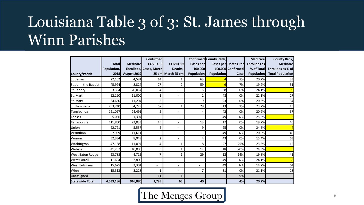#### Louisiana Table 3 of 3: St. James through Winn Parishes

|                         |              |                 | Confirmed                      |                          |                          | <b>Confirmed</b> County Rank, |                             | <b>Medicare</b>     | <b>County Rank,</b>     |
|-------------------------|--------------|-----------------|--------------------------------|--------------------------|--------------------------|-------------------------------|-----------------------------|---------------------|-------------------------|
|                         | <b>Total</b> | <b>Medicare</b> | COVID-19                       | COVID-19                 | <b>Cases per</b>         |                               | <b>Cases per Deaths Per</b> | <b>Enrollees</b> as | <b>Medicare</b>         |
|                         | Population,  |                 | <b>Enrollees, Cases, March</b> | Deaths,                  | 100,000                  |                               | 100,000 Confirmed           | % of Total          | Enrollees as % of       |
| <b>County/Parish</b>    | 2018         | August 2019     | 25 pm                          | March 25 pm              | Population               | <b>Population</b>             | Case                        | <b>Population</b>   | <b>Total Population</b> |
| St. James               | 22,102       | 4,581           | 14                             | 1                        | 63                       |                               | 7%                          | 20.7%               | 33                      |
| St. John the Baptist    | 45,924       | 8,824           | 27                             | 2                        | 59                       |                               | 7%                          | 19.2%               | 51                      |
| St. Landry              | 83,384       | 20,057          | 4                              | $\overline{a}$           | 5                        | 38                            | 0%                          | 24.1%               |                         |
| St. Martin              | 52,160       | 11,000          | $\mathbf{1}$                   | $\overline{\phantom{a}}$ | $\overline{2}$           | 48                            | 0%                          | 21.1%               | 27                      |
| St. Mary                | 54,650       | 11,204          | 5                              | $\overline{\phantom{a}}$ | 9                        | 23                            | 0%                          | 20.5%               | 34                      |
| St. Tammany             | 233,740      | 54,229          | 67                             |                          | 29                       | 13                            | 1%                          | 23.2%               | 15                      |
| Tangipahoa              | 121,097      | 24,491          | 5                              | $\overline{\phantom{a}}$ | 4                        | 42                            | 0%                          | 20.2%               | 37                      |
| <b>Tensas</b>           | 5,066        | 1,307           | $\overline{\phantom{a}}$       | $\overline{\phantom{a}}$ | $\overline{\phantom{a}}$ | 49                            | <b>NA</b>                   | 25.8%               |                         |
| Terrebonne              | 111,860      | 22,033          | 15                             | $\overline{\phantom{a}}$ | 13                       | 17                            | 0%                          | 19.7%               | 46                      |
| Union                   | 22,721       | 5,557           | 2                              |                          | 9                        | 25                            | 0%                          | 24.5%               |                         |
| Vermilion               | 57,999       | 11,611          |                                | $\overline{\phantom{a}}$ | $\overline{\phantom{0}}$ | 49                            | <b>NA</b>                   | 20.0%               | 40                      |
| Vernon                  | 52,334       | 8,049           | 2                              | $\overline{\phantom{a}}$ | 4                        | 43                            | 0%                          | 15.4%               | 63                      |
| Washington              | 47,168       | 11,097          | 4                              |                          | 8                        | 27                            | 25%                         | 23.5%               | 12                      |
| Webster                 | 41,207       | 10,005          | 5                              | 1                        | 12                       | 18                            | 20%                         | 24.3%               |                         |
| <b>West Baton Rouge</b> | 23,788       | 4,715           | 7                              | 1                        | 29                       | 12                            | 14%                         | 19.8%               | 41                      |
| <b>West Carroll</b>     | 11,604       | 2,800           |                                | $\overline{a}$           |                          | 49                            | <b>NA</b>                   | 24.1%               |                         |
| West Feliciana          | 15,625       | 2,301           | $\overline{\phantom{a}}$       | $\overline{\phantom{a}}$ | $\overline{a}$           | 49                            | <b>NA</b>                   | 14.7%               | 64                      |
| Winn                    | 15,313       | 3,228           | 1                              | $\overline{\phantom{a}}$ | 7                        | 31                            | 0%                          | 21.1%               | 28                      |
| Unassigned              |              |                 | 11                             | $\mathbf{1}$             |                          |                               | 9%                          |                     |                         |
| <b>Statewide Total</b>  | 4,533,186    | 916,880         | 1,795                          | 65                       | 40                       |                               | 4%                          | 20.2%               |                         |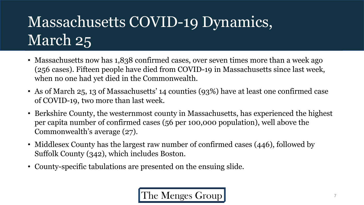# Massachusetts COVID-19 Dynamics, March 25

- Massachusetts now has 1,838 confirmed cases, over seven times more than a week ago (256 cases). Fifteen people have died from COVID-19 in Massachusetts since last week, when no one had yet died in the Commonwealth.
- As of March 25, 13 of Massachusetts' 14 counties (93%) have at least one confirmed case of COVID-19, two more than last week.
- Berkshire County, the westernmost county in Massachusetts, has experienced the highest per capita number of confirmed cases (56 per 100,000 population), well above the Commonwealth's average (27).
- Middlesex County has the largest raw number of confirmed cases (446), followed by Suffolk County (342), which includes Boston.
- County-specific tabulations are presented on the ensuing slide.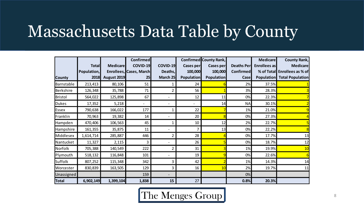## Massachusetts Data Table by County

|                |              |                 | <b>Confirmed</b>        |                          |                  | <b>Confirmed County Rank,</b> |                   | <b>Medicare</b>     | <b>County Rank,</b>                |
|----------------|--------------|-----------------|-------------------------|--------------------------|------------------|-------------------------------|-------------------|---------------------|------------------------------------|
|                | <b>Total</b> | <b>Medicare</b> | <b>COVID-19</b>         | <b>COVID-19</b>          | <b>Cases per</b> | <b>Cases per</b>              | <b>Deaths Per</b> | <b>Enrollees</b> as | <b>Medicare</b>                    |
|                | Population,  |                 | Enrollees, Cases, March | Deaths,                  | 100,000          | 100,000                       | <b>Confirmed</b>  |                     | % of Total Enrollees as % of       |
| <b>County</b>  | 2018         | August 2019     | 25                      | March 25                 | Population       | <b>Population</b>             | <b>Case</b>       |                     | <b>Population</b> Total Population |
| Barnstable     | 213,413      | 80,106          | 51                      | 1                        | 24               |                               | 2%                | 37.5%               |                                    |
| Berkshire      | 126,348      | 35,788          | 71                      | $\overline{2}$           | 56               |                               | 3%                | 28.3%               |                                    |
| <b>Bristol</b> | 564,022      | 125,898         | 67                      |                          | 12               | 11                            | 0%                | 22.3%               |                                    |
| Dukes          | 17,352       | 5,218           |                         |                          |                  | 14                            | <b>NA</b>         | 30.1%               |                                    |
| Essex          | 790,638      | 166,022         | 177                     | $\mathbf{1}$             | 22               |                               | 1%                | 21.0%               |                                    |
| Franklin       | 70,963       | 19,382          | 14                      |                          | 20               |                               | 0%                | 27.3%               |                                    |
| Hampden        | 470,406      | 106,563         | 45                      | 1                        | 10               | 12                            | 2%                | 22.7%               |                                    |
| Hampshire      | 161,355      | 35,875          | 11                      |                          | 7                | 13                            | 0%                | 22.2%               |                                    |
| Middlesex      | 1,614,714    | 285,887         | 446                     | $\overline{2}$           | 28               |                               | 0%                | 17.7%               | 13                                 |
| Nantucket      | 11,327       | 2,115           | 3                       | $\overline{\phantom{0}}$ | 26               |                               | 0%                | 18.7%               | 12                                 |
| Norfolk        | 705,388      | 140,549         | 222                     | $\overline{2}$           | 31               |                               | 1%                | 19.9%               | 10                                 |
| Plymouth       | 518,132      | 116,848         | 101                     |                          | 19               |                               | 0%                | 22.6%               |                                    |
| Suffolk        | 807,252      | 115,348         | 342                     | 3                        | 42               |                               | 1%                | 14.3%               | 14                                 |
| Worcester      | 830,839      | 163,505         | 129                     | 3                        | 16               | 10                            | 2%                | 19.7%               | 11                                 |
| Unassigned     |              |                 | 159                     |                          |                  |                               | 0%                |                     |                                    |
| Total          | 6,902,149    | 1,399,104       | 1,838                   | 15                       | 27               |                               | 0.8%              | 20.3%               |                                    |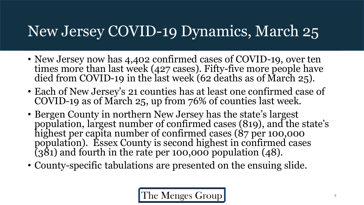#### New Jersey COVID-19 Dynamics, March 25

- New Jersey now has 4,402 confirmed cases of COVID-19, over ten times more than last week (427 cases). Fifty-five more people have died from COVID-19 in the last week (62 deaths as of March 25).
- Each of New Jersey's 21 counties has at least one confirmed case of COVID-19 as of March 25, up from 76% of counties last week.
- Bergen County in northern New Jersey has the state's largest population, largest number of confirmed cases (819), and the state's highest per capita number of confirmed cases (87 per 100,000 population). Essex County is second highest in confirmed cases  $(381)$  and fourth in the rate per 100,000 population (48).
- County-specific tabulations are presented on the ensuing slide.

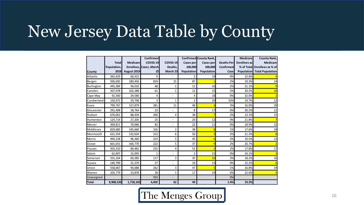### New Jersey Data Table by County

|               |              |                 | <b>Confirmed</b>        |                          |                  | Confirmed County Rank, |                    | <b>Medicare</b> | <b>County Rank,</b>           |
|---------------|--------------|-----------------|-------------------------|--------------------------|------------------|------------------------|--------------------|-----------------|-------------------------------|
|               | <b>Total</b> | <b>Medicare</b> | COVID-19                | COVID-19                 | <b>Cases per</b> | Cases per              | <b>Deaths Perl</b> | Enrollees as    | <b>Medicare</b>               |
|               | Population,  |                 | Enrollees, Cases, March | Deaths.                  | 100,000          | 100,000                | Confirmed          |                 | % of Totall Enrollees as % of |
| <b>County</b> | <b>2018</b>  | August 2019     | 25                      | March 23                 | Population       | Population             | Case               |                 | Population Total Population   |
| Atlantic      | 265,429      | 60,415          | 9                       |                          | 3                | 19                     | 0%                 | 22.8%           |                               |
| Bergen        | 936,692      | 180,456         | 819                     | 15                       | 87               |                        | 2%                 | 19.3%           | 14                            |
| Burlington    | 445,384      | 94,010          | 48                      | 1                        | 11               | 16                     | 2%                 | 21.1%           |                               |
| Camden        | 507,078      | 102,288         | 61                      | 1                        | 12               | 15                     | 2%                 | 20.2%           | 10                            |
| Cape May      | 92,560       | 29,580          | 4                       |                          | 4                | 18                     | 0%                 | 32.0%           |                               |
| Cumberland    | 150,972      | 29,796          | 3                       | 1                        | $\overline{2}$   | 20                     | 33%                | 19.7%           | 12                            |
| <b>Essex</b>  | 799,767      | 127,879         | 381                     | 11                       | 48               |                        | 3%                 | 16.0%           | 20                            |
| Gloucester    | 291,408      | 58,764          | 23                      |                          | 8                | 17                     | 0%                 | 20.2%           | 11                            |
| Hudson        | 676,061      | 88,434          | 260                     | 4                        | 38               |                        | 2%                 | 13.1%           | 21                            |
| Hunterdon     | 124,714      | 27,205          | 25                      |                          | 20               | 12                     | 0%                 | 21.8%           |                               |
| Mercer        | 369,811      | 70,066          | 82                      | $\blacksquare$           | 22               | 11                     | 0%                 | 18.9%           | 15                            |
| Middlesex     | 829,685      | 145,660         | 316                     | 2                        | 38               |                        | 1%                 | 17.6%           | 18                            |
| Monmouth      | 621,354      | 132,624         | 313                     | 6                        | 50               | 3                      | 2%                 | 21.3%           |                               |
| Morris        | 494,228      | 96,360          | 223                     | 5                        | 45               | 6                      | 2%                 | 19.5%           | 13                            |
| Ocean         | 601,651      | 160,770         | 222                     | 5                        | 37               |                        | 2%                 | 26.7%           |                               |
| Passaic       | 503,310      | 89,481          | 255                     | 4                        | 51               |                        | 2%                 | 17.8%           | 17                            |
| Salem         | 62,607       | 15,093          | $\mathbf{1}$            |                          | $\overline{2}$   | 21                     | 0%                 | 24.1%           |                               |
| Somerset      | 331,164      | 60,385          | 117                     | 3                        | 35               | 10                     | 3%                 | 18.2%           | 16                            |
| Sussex        | 140,799      | 31,270          | 27                      | $\overline{\phantom{a}}$ | 19               | 13                     | 0%                 | 22.2%           |                               |
| Union         | 558,067      | 93,688          | 262                     | 3                        | 47               |                        | 1%                 | 16.8%           | 19                            |
| Warren        | 105,779      | 23,878          | 18                      | 1                        | 17               | 14                     | 6%                 | 22.6%           |                               |
| Unassigned    |              |                 | 933                     |                          |                  |                        | 0%                 |                 |                               |
| <b>Total</b>  | 8,908,520    | 1,718,102       | 4,402                   | 62                       | 49               |                        | 1.4%               | 19.3%           |                               |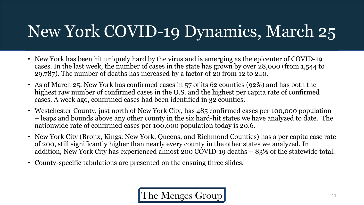# New York COVID-19 Dynamics, March 25

- New York has been hit uniquely hard by the virus and is emerging as the epicenter of COVID-19 cases. In the last week, the number of cases in the state has grown by over 28,000 (from 1,544 to 29,787). The number of deaths has increased by a factor of 20 from 12 to 240.
- As of March 25, New York has confirmed cases in 57 of its 62 counties (92%) and has both the highest raw number of confirmed cases in the U.S. and the highest per capita rate of confirmed cases. A week ago, confirmed cases had been identified in 32 counties.
- Westchester County, just north of New York City, has 485 confirmed cases per 100,000 population – leaps and bounds above any other county in the six hard-hit states we have analyzed to date. The nationwide rate of confirmed cases per 100,000 population today is 20.6.
- New York City (Bronx, Kings, New York, Queens, and Richmond Counties) has a per capita case rate of 200, still significantly higher than nearly every county in the other states we analyzed. In addition, New York City has experienced almost 200 COVID-19 deaths – 83% of the statewide total.
- County-specific tabulations are presented on the ensuing three slides.

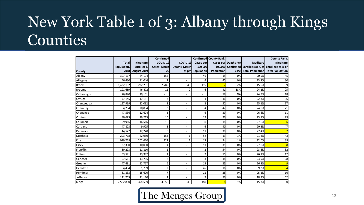### New York Table 1 of 3: Albany through Kings Counties

|                 |              |                 | Confirmed    |                          |                          | Confirmed County Rank, |                             |                                                       | <b>County Rank,</b> |
|-----------------|--------------|-----------------|--------------|--------------------------|--------------------------|------------------------|-----------------------------|-------------------------------------------------------|---------------------|
|                 | <b>Total</b> | <b>Medicare</b> | COVID-19     | COVID-19                 | Cases per                |                        | <b>Cases per Deaths Per</b> | <b>Medicare</b>                                       | Medicare            |
|                 | Population,  | Enrollees.      | Cases, March | Deaths, March            | 100,000                  |                        |                             | 100,000 Confirmed Enrollees as % of Enrollees as % of |                     |
| <b>County</b>   | 2018         | August 2019     | 25           |                          | 25 pm Population         | <b>Population</b>      |                             | Case Total Population Total Population                |                     |
| Albany          | 307,117      | 64,194          | 152          |                          | 49                       | 15                     | 0%                          | 20.9%                                                 | 45                  |
| Allegany        | 46,430       | 11,046          | 2            | $\overline{a}$           | 4                        | 45                     | 0%                          | 23.8%                                                 | 30                  |
| <b>Bronx</b>    | 1,432,132    | 222,281         | 2,789        | 43                       | 195                      |                        | 2%                          | 15.5%                                                 | 59                  |
| <b>Broome</b>   | 191,659      | 46,472          | 11           | $\overline{2}$           | 6                        | 41                     | 18%                         | 24.2%                                                 | 25                  |
| Cattaraugus     | 76,840       | 19,151          |              | $\overline{\phantom{a}}$ | $\overline{\phantom{a}}$ | 58                     | <b>NA</b>                   | 24.9%                                                 | 18                  |
| Cayuga          | 77,145       | 17,181          | 3            | $\overline{\phantom{a}}$ | $\overline{4}$           | 46                     | 0%                          | 22.3%                                                 | 36                  |
| Chautauqua      | 127,939      | 32,092          | 3            | $\overline{a}$           | $\overline{2}$           | 52                     | 0%                          | 25.1%                                                 | 17                  |
| Chemung         | 84,254       | 20,894          | 3            | $\overline{\phantom{a}}$ | 4                        | 47                     | 0%                          | 24.8%                                                 | 21                  |
| Chenango        | 47,536       | 12,624          | 3            | $\overline{\phantom{a}}$ | 6                        | 39                     | 0%                          | 26.6%                                                 | 11                  |
| Clinton         | 80,695       | 19,215          | 10           | $\overline{\phantom{0}}$ | 12                       | 26                     | 0%                          | 23.8%                                                 | 29                  |
| Columbia        | 59,916       | 16,516          | 18           | $\overline{\phantom{a}}$ | 30                       | 18                     | 0%                          | 27.6%                                                 |                     |
| Cortland        | 47,823       | 9,925           | 3            | $\overline{\phantom{a}}$ | 6                        | 40                     | 0%                          | 20.8%                                                 | 47                  |
| Delaware        | 44,527       | 12,220          | 5            | $\overline{a}$           | 11                       | 30                     | 0%                          | 27.4%                                                 |                     |
| <b>Dutchess</b> | 293,718      | 62,980          | 153          | 1                        | 52                       | 13                     | 1%                          | 21.4%                                                 | 43                  |
| Erie            | 919,719      | 202,620         | 122          | 1                        | 13                       | 24                     | 1%                          | 22.0%                                                 | 38                  |
| <b>Essex</b>    | 37,300       | 10,060          | 4            |                          | 11                       | 31                     | 0%                          | 27.0%                                                 |                     |
| Franklin        | 50,293       | 11,810          | 1            | $\overline{\phantom{a}}$ | $\overline{2}$           | 54                     | 0%                          | 23.5%                                                 | 32                  |
| Fulton          | 53,591       | 13,982          | $\mathbf 1$  | $\overline{\phantom{a}}$ | 2                        | 55                     | 0%                          | 26.1%                                                 | 12                  |
| Genesee         | 57,511       | 13,735          | 2            | $\overline{\phantom{a}}$ | 3                        | 48                     | 0%                          | 23.9%                                                 | 28                  |
| Greene          | 47,491       | 12,717          | 6            | $\overline{\phantom{0}}$ | 13                       | 25                     | 0%                          | 26.8%                                                 |                     |
| Hamilton        | 4,434        | 1,739           | 2            | $\overline{\phantom{a}}$ | 45                       | 16                     | 0%                          | 39.2%                                                 |                     |
| Herkimer        | 61,833       | 15,600          | 7            | $\overline{\phantom{a}}$ | 11                       | 28                     | 0%                          | 25.2%                                                 | 16                  |
| Jefferson       | 111,755      | 21,170          | 2            |                          | $\overline{2}$           | 56                     | 0%                          | 18.9%                                                 | 52                  |
| Kings           | 2,582,830    | 394,589         | 4,656        | 43                       | 180                      |                        | 1%                          | 15.3%                                                 | 60                  |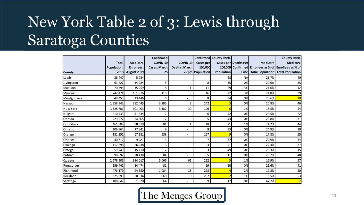## New York Table 2 of 3: Lewis through Saratoga Counties

|               |              |                 | <b>Confirmed</b> |                          |                  | Confirmed County Rank, |                             |                                                       | <b>County Rank,</b>     |
|---------------|--------------|-----------------|------------------|--------------------------|------------------|------------------------|-----------------------------|-------------------------------------------------------|-------------------------|
|               | <b>Total</b> | <b>Medicare</b> | COVID-19         | <b>COVID-19</b>          | Cases per        |                        | <b>Cases per Deaths Per</b> | Medicare                                              | Medicare                |
|               | Population,  | Enrollees,      | Cases, March     | Deaths, March            | 100,000          |                        |                             | 100,000 Confirmed Enrollees as % of Enrollees as % of |                         |
| <b>County</b> | 2018         | August 2019     | 25               |                          | 25 pm Population | <b>Population</b>      |                             | Case Total Population                                 | <b>Total Population</b> |
| Lewis         | 26,447       | 5,734           | ٠                |                          |                  | 58                     | <b>NA</b>                   | 21.7%                                                 | 40                      |
| Livingston    | 63,227       | 14,284          | 5                | $\overline{a}$           | 8                | 35                     | 0%                          | 22.6%                                                 | 35                      |
| Madison       | 70,795       | 15,259          | 8                |                          | 11               | 29                     | 13%                         | 21.6%                                                 | 42                      |
| Monroe        | 742.474      | 161,976         | 118              | 3                        | 16               | 22                     | 3%                          | 21.8%                                                 | 39                      |
| Montgomery    | 49,455       | 13,146          | 4                | $\blacksquare$           | 8                | 34                     | 0%                          | 26.6%                                                 | 10                      |
| Nassau        | 1,358,343    | 282,445         | 3,285            | 9                        | 242              |                        | 0%                          | 20.8%                                                 | 46                      |
| New York      | 1,628,701    | 301,003         | 3,187            | 30                       | 196              |                        | 1%                          | 18.5%                                                 | 54                      |
| Niagara       | 210,433      | 51,534          | 12               | $\overline{a}$           | 6                | 42                     | 0%                          | 24.5%                                                 | 22                      |
| Oneida        | 229,577      | 54,605          | 12               | $\blacksquare$           | 5                | 43                     | 0%                          | 23.8%                                                 | 31                      |
| Onondaga      | 461,809      | 98,079          | 81               |                          | 18               | 21                     | 1%                          | 21.2%                                                 | 44                      |
| Ontario       | 109,864      | 27,341          | 9                | $\overline{\phantom{a}}$ | 8                | 33                     | 0%                          | 24.9%                                                 | 19                      |
| Orange        | 381,951      | 67,931          | 638              | $\blacksquare$           | 167              | g                      | 0%                          | 17.8%                                                 | 55                      |
| Orleans       | 40,612       | 9,281           | 3                | $\overline{\phantom{a}}$ | 7                | 37                     | 0%                          | 22.9%                                                 | 34                      |
| Oswego        | 117,898      | 26,238          | 3                | $\blacksquare$           | 3                | 51                     | 0%                          | 22.3%                                                 | 37                      |
| Otsego        | 59,749       | 15,110          | $\overline{2}$   | $\blacksquare$           | 3                | 49                     | 0%                          | 25.3%                                                 | 15                      |
| Putnam        | 98,892       | 20,438          | 84               | ÷                        | 85               | 11                     | 0%                          | 20.7%                                                 | 48                      |
| <b>Queens</b> | 2,278,906    | 384,017         | 5,066            | 65                       | 222              |                        | 1%                          | 16.9%                                                 | 57                      |
| Rensselaer    | 159,442      | 34,474          | 31               | $\blacksquare$           | 19               | 20                     | 0%                          | 21.6%                                                 | 41                      |
| Richmond      | 476,179      | 94,350          | 1,084            | 18                       | 228              |                        | 2%                          | 19.8%                                                 | 50                      |
| Rockland      | 325,695      | 60,334          | 968              | 5                        | 297              |                        | 1%                          | 18.5%                                                 | 53                      |
| Saratoga      | 108,047      | 51,020          | 64               | $\overline{\phantom{0}}$ | 59               | 12                     | 0%                          | 47.2%                                                 |                         |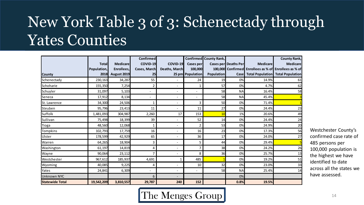### New York Table 3 of 3: Schenectady through Yates Counties

|                        |              |                 | <b>Confirmed</b>         |                          |                          | <b>Confirmed County Rank,</b> |                             |                 | <b>County Rank,</b>                                   |
|------------------------|--------------|-----------------|--------------------------|--------------------------|--------------------------|-------------------------------|-----------------------------|-----------------|-------------------------------------------------------|
|                        | <b>Total</b> | <b>Medicare</b> | <b>COVID-19</b>          | COVID-19                 | <b>Cases per</b>         |                               | <b>Cases per Deaths Per</b> | <b>Medicare</b> | <b>Medicare</b>                                       |
|                        | Population,  | Enrollees.      | Cases, March             | <b>Deaths, March</b>     | 100,000                  |                               |                             |                 | 100,000 Confirmed Enrollees as % of Enrollees as % of |
| <b>County</b>          | 2018         | August 2019     | 25                       |                          | 25 pm Population         | <b>Population</b>             | <b>Case</b>                 |                 | <b>Total Population Total Population</b>              |
| Schenectady            | 230,163      | 34,287          | 55                       | $\overline{\phantom{0}}$ | 24                       | 19                            | 0%                          | 14.9%           | 61                                                    |
| Schoharie              | 155,350      | 7,254           | $\overline{2}$           | $\overline{a}$           |                          | 57                            | 0%                          | 4.7%            | 62                                                    |
| Schuyler               | 31,097       | 5,103           | $\overline{\phantom{a}}$ | $\blacksquare$           | $\blacksquare$           | 58                            | <b>NA</b>                   | 16.4%           | 58                                                    |
| Seneca                 | 17,912       | 8,134           | $\overline{\phantom{a}}$ | $\overline{\phantom{0}}$ | $\overline{\phantom{a}}$ | 58                            | <b>NA</b>                   | 45.4%           |                                                       |
| St. Lawrence           | 34,300       | 24,506          | 1                        |                          | 3                        | 50                            | 0%                          | 71.4%           |                                                       |
| Steuben                | 95,796       | 23,413          | 11                       | $\overline{\phantom{0}}$ | 11                       | 27                            | 0%                          | 24.4%           | 23                                                    |
| Suffolk                | 1,481,093    | 304,987         | 2,260                    | 17                       | 153                      | 10                            | 1%                          | 20.6%           | 49                                                    |
| Sullivan               | 75,498       | 18,399          | 39                       | $\overline{\phantom{0}}$ | 52                       | 14                            | 0%                          | 24.4%           | 24                                                    |
| Tioga                  | 48,560       | 12,068          | 1                        |                          | $\overline{2}$           | 53                            | 0%                          | 24.9%           | 20                                                    |
| Tompkins               | 102,793      | 17,759          | 16                       | $\overline{a}$           | 16                       | 23                            | 0%                          | 17.3%           | 56                                                    |
| Ulster                 | 178,599      | 42,929          | 65                       |                          | 36                       | 17                            | 0%                          | 24.0%           | 27                                                    |
| Warren                 | 64,265       | 18,904          | 3                        | $\blacksquare$           | 5                        | 44                            | 0%                          | 29.4%           |                                                       |
| Washington             | 61,197       | 14,819          | $\overline{4}$           | $\blacksquare$           | 7                        | 38                            | 0%                          | 24.2%           | 26                                                    |
| Wayne                  | 90,064       | 23,112          | 7                        | ٠                        | 8                        | 36                            | 0%                          | 25.7%           | 13                                                    |
| Westchester            | 967,612      | 185,937         | 4,691                    |                          | 485                      |                               | 0%                          | 19.2%           | 51                                                    |
| Wyoming                | 40,085       | 9,225           | 4                        | ٠                        | 10                       | 32                            | 0%                          | 23.0%           | 33                                                    |
| Yates                  | 24,841       | 6,309           | $\overline{\phantom{a}}$ | $\overline{\phantom{0}}$ | $\overline{\phantom{a}}$ | 58                            | <b>NA</b>                   | 25.4%           | 14                                                    |
| <b>Unknown NYC</b>     |              |                 | 6                        |                          |                          |                               | 0%                          |                 |                                                       |
| <b>Statewide Total</b> | 19,542,209   | 3,810,557       | 29,787                   | 240                      | 152                      |                               | 0.8%                        | 19.5%           |                                                       |

Westchester County's confirmed case rate of 485 persons per 100,000 population is the highest we have identified to date across all the states we have assessed.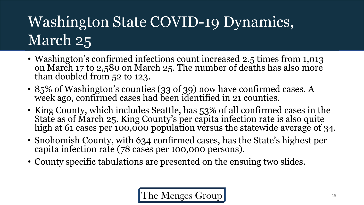# Washington State COVID-19 Dynamics, March 25

- Washington's confirmed infections count increased 2.5 times from 1,013 on March 17 to 2,580 on March 25. The number of deaths has also more than doubled from 52 to 123.
- 85% of Washington's counties (33 of 39) now have confirmed cases. A week ago, confirmed cases had been identified in 21 counties.
- King County, which includes Seattle, has 53% of all confirmed cases in the State as of March 25. King County's per capita infection rate is also quite high at 61 cases per 100,000 population versus the statewide average of 34.
- Snohomish County, with 634 confirmed cases, has the State's highest per capita infection rate (78 cases per 100,000 persons).
- County specific tabulations are presented on the ensuing two slides.

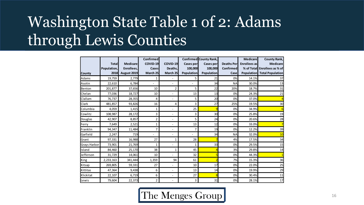## Washington State Table 1 of 2: Adams through Lewis Counties

| <b>County</b>       | <b>Total</b><br>Population,<br>2018 | <b>Medicare</b><br>Enrollees,<br>August 2019 | Confirmed<br>COVID-19<br>Cases<br>March 25 | COVID-19<br>Deaths,<br>March 25 | Cases per<br>100,000<br><b>Population</b> | Confirmed County Rank,<br>Cases per<br>100,000<br><b>Population</b> | <b>Deaths Per</b><br><b>Confirmed</b><br>Case | <b>Medicare</b><br><b>Enrollees</b> as<br><b>Population</b> | <b>County Rank,</b><br><b>Medicare</b><br>% of Total Enrollees as % of<br><b>Total Population</b> |
|---------------------|-------------------------------------|----------------------------------------------|--------------------------------------------|---------------------------------|-------------------------------------------|---------------------------------------------------------------------|-----------------------------------------------|-------------------------------------------------------------|---------------------------------------------------------------------------------------------------|
| Adams               | 19,759                              | 2,779                                        | 1                                          | $\blacksquare$                  | 5                                         | 21                                                                  | 0%                                            | 14.1%                                                       | 37                                                                                                |
| Asotin              | 22,610                              | 6,784                                        | $\blacksquare$                             | $\blacksquare$                  | $\blacksquare$                            | 34                                                                  | <b>NA</b>                                     | 30.0%                                                       | 13                                                                                                |
| Benton              | 201,877                             | 37,656                                       | 10                                         | $\overline{2}$                  | 5                                         | 22                                                                  | 20%                                           | 18.7%                                                       | 31                                                                                                |
| Chelan              | 77,036                              | 18,727                                       | 10                                         | $\overline{\phantom{a}}$        | 13                                        | 13                                                                  | 0%                                            | 24.3%                                                       | 21                                                                                                |
| Clallam             | 76,737                              | 28,355                                       | 4                                          | $\overline{\phantom{a}}$        | 5                                         | 20                                                                  | 0%                                            | 37.0%                                                       |                                                                                                   |
| Clark               | 481,857                             | 93,826                                       | 16                                         | 4                               | 3                                         | 27                                                                  | 25%                                           | 19.5%                                                       | 30                                                                                                |
| Columbia            | 4,059                               | 1,415                                        | 1                                          | $\overline{\phantom{a}}$        | 25                                        | 9                                                                   | 0%                                            | 34.9%                                                       |                                                                                                   |
| Cowlitz             | 108,987                             | 28,172                                       | 3                                          | ٠                               | 3                                         | 30                                                                  | 0%                                            | 25.8%                                                       | 19                                                                                                |
| Douglas             | 42,907                              | 8,857                                        | $\overline{2}$                             | $\blacksquare$                  | 5                                         | 24                                                                  | 0%                                            | 20.6%                                                       | 28                                                                                                |
| Ferry               | 7,649                               | 2,521                                        | 1                                          | $\overline{\phantom{a}}$        | 13                                        | 12                                                                  | 0%                                            | 33.0%                                                       |                                                                                                   |
| Franklin            | 94,347                              | 11,484                                       | 7                                          | $\blacksquare$                  | 7                                         | 19                                                                  | 0%                                            | 12.2%                                                       | 39                                                                                                |
| Garfield            | 2,247                               | 719                                          | $\blacksquare$                             | $\blacksquare$                  | $\blacksquare$                            | 34                                                                  | <b>NA</b>                                     | 32.0%                                                       | 10                                                                                                |
| Grant               | 97,331                              | 16,988                                       | 27                                         | $\mathbf{1}$                    | 28                                        |                                                                     | 4%                                            | 17.5%                                                       | 34                                                                                                |
| <b>Grays Harbor</b> | 73,901                              | 21,769                                       | 1                                          | $\blacksquare$                  | 1                                         | 33                                                                  | 0%                                            | 29.5%                                                       | 15                                                                                                |
| Island              | 84,460                              | 25,170                                       | 38                                         | $\mathbf{1}$                    | 45                                        |                                                                     | 3%                                            | 29.8%                                                       | 14                                                                                                |
| Jefferson           | 31,729                              | 14,061                                       | 10                                         | $\blacksquare$                  | 32                                        | 5                                                                   | 0%                                            | 44.3%                                                       |                                                                                                   |
| <b>King</b>         | 2,233,163                           | 341,444                                      | 1,359                                      | 94                              | 61                                        |                                                                     | 7%                                            | 15.3%                                                       | 36                                                                                                |
| Kitsap              | 269,805                             | 59,331                                       | 27                                         | ÷.                              | 10                                        | 17                                                                  | 0%                                            | 22.0%                                                       | 25                                                                                                |
| Kittitas            | 47,364                              | 9,438                                        | 6                                          | $\sim$                          | 13                                        | 14                                                                  | 0%                                            | 19.9%                                                       | 29                                                                                                |
| Klickitat           | 22,107                              | 6,719                                        | 6                                          | $\sim$                          | 27                                        | 8                                                                   | 0%                                            | 30.4%                                                       | 11                                                                                                |
| Lewis               | 79,604                              | 22,373                                       | $\overline{2}$                             |                                 | 3                                         | 31                                                                  | 0%                                            | 28.1%                                                       | 17                                                                                                |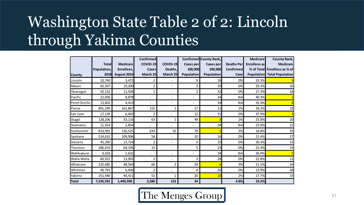## Washington State Table 2 of 2: Lincoln through Yakima Counties

|               |              |                 | <b>Confirmed</b> |                              |                          | <b>Confirmed County Rank,</b> |                   | <b>Medicare</b>     | <b>County Rank,</b>                |
|---------------|--------------|-----------------|------------------|------------------------------|--------------------------|-------------------------------|-------------------|---------------------|------------------------------------|
|               | <b>Total</b> | <b>Medicare</b> | COVID-19         | COVID-19                     | Cases per                | <b>Cases per</b>              | <b>Deaths Per</b> | <b>Enrollees</b> as | <b>Medicare</b>                    |
|               | Population,  | Enrollees,      | Cases            | Deaths,                      | 100,000                  | 100,000                       | <b>Confirmed</b>  |                     | % of Total Enrollees as % of       |
| <b>County</b> | 2018         | August 2019     | March 25         | March 25                     | <b>Population</b>        | <b>Population</b>             | Case              |                     | <b>Population</b> Total Population |
| Lincoln       | 10,740       | 3,472           | 1                | $\overline{\phantom{a}}$     | 9                        | 18                            | 0%                | 32.3%               |                                    |
| Mason         | 65,507       | 19,200          | 2                | $\overline{\phantom{a}}$     | 3                        | 29                            | 0%                | 29.3%               | 16                                 |
| Okanogan      | 42,132       | 11,504          | 1                | $\blacksquare$               | $\overline{\mathbf{c}}$  | 32                            | 0%                | 27.3%               | 18                                 |
| Pacific       | 22,036       | 8,878           |                  | $\qquad \qquad \blacksquare$ |                          | 34                            | <b>NA</b>         | 40.3%               |                                    |
| Pend Oreille  | 13,602       | 4,413           | $\frac{1}{2}$    | $\qquad \qquad \blacksquare$ | $\overline{\phantom{0}}$ | 34                            | <b>NA</b>         | 32.4%               |                                    |
| Pierce        | 891,299      | 161,867         | 155              | $\mathbf{1}$                 | 17                       | 11                            | 1%                | 18.2%               | 32                                 |
| lSan Juan     | 17,128       | 6,402           | 2                | $\overline{\phantom{a}}$     | 12                       | 15                            | 0%                | 37.4%               |                                    |
| Skagit        | 128,206      | 33,116          | 63               | $\mathbf{1}$                 | 49                       | $\overline{\mathbf{3}}$       | 2%                | 25.8%               | 20                                 |
| Skamania      | 11,924       | 2,854           | $\overline{a}$   | $\overline{a}$               |                          | 34                            | <b>NA</b>         | 23.9%               | 22                                 |
| Snohomish     | 814,901      | 136,525         | 634              | 16                           | 78                       |                               | 3%                | 16.8%               | 35                                 |
| Spokane       | 514,631      | 109,906         | 54               |                              | 10                       | 16                            | 0%                | 21.4%               | 27                                 |
| Stevens       | 45,260       | 13,724          | $\overline{2}$   | $\overline{\phantom{a}}$     | 4                        | 25                            | 0%                | 30.3%               | 12                                 |
| Thurston      | 286,419      | 64,195          | 14               |                              | 5                        | 23                            | 0%                | 22.4%               | 24                                 |
| Wahkiakum     | 4,426        | 1,632           |                  | $\blacksquare$               |                          | 34                            | <b>NA</b>         | 36.9%               |                                    |
| Walla Walla   | 60,922       | 13,903          | $\overline{2}$   | $\overline{\phantom{a}}$     | 3                        | 28                            | 0%                | 22.8%               | 23                                 |
| Whatcom       | 225,685      | 48,564          | 66               | $\overline{2}$               | 29                       | 6                             | 3%                | 21.5%               | 26                                 |
| Whitman       | 49,791       | 6,436           | 2                | $\overline{\phantom{a}}$     | 4                        | 26                            | 0%                | 12.9%               | 38                                 |
| Yakima        | 251,446      | 44,411          | 51               | 1                            | 20                       | 10                            | 2%                | 17.7%               | 33                                 |
| Total         | 7,535,591    | 1,449,590       | 2,580            | 123                          | 34                       |                               | 4.8%              | 19.2%               |                                    |